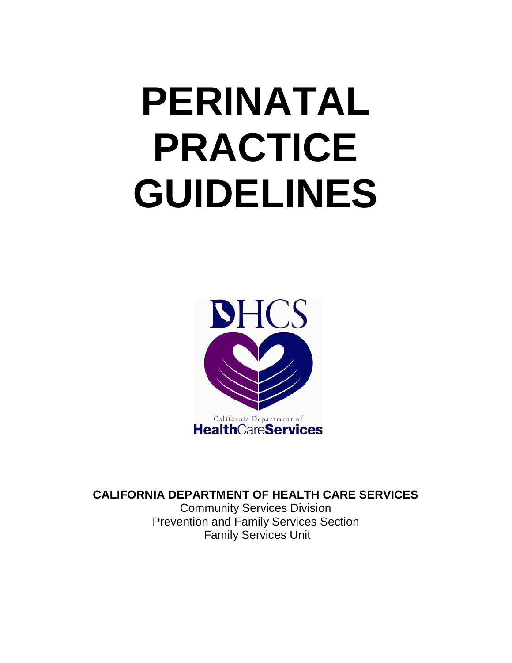# **PERINATAL PRACTICE GUIDELINES**



**CALIFORNIA DEPARTMENT OF HEALTH CARE SERVICES**

Community Services Division Prevention and Family Services Section Family Services Unit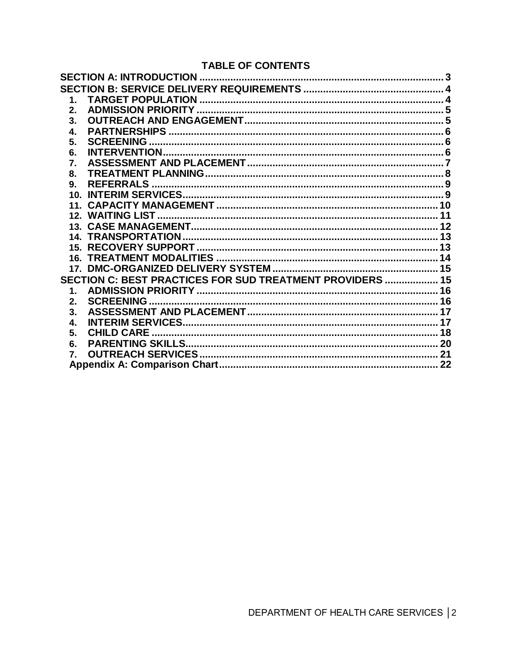# **TABLE OF CONTENTS**

| $\mathbf{1}$ . |                                                           |  |
|----------------|-----------------------------------------------------------|--|
| 2.             |                                                           |  |
| 3.             |                                                           |  |
| 4.             |                                                           |  |
| 5.             |                                                           |  |
| 6.             |                                                           |  |
| 7.             |                                                           |  |
| 8.             |                                                           |  |
| 9.             |                                                           |  |
|                |                                                           |  |
|                |                                                           |  |
|                |                                                           |  |
|                |                                                           |  |
|                |                                                           |  |
|                |                                                           |  |
|                |                                                           |  |
|                |                                                           |  |
|                | SECTION C: BEST PRACTICES FOR SUD TREATMENT PROVIDERS  15 |  |
| $\mathbf 1$ .  |                                                           |  |
| 2.             |                                                           |  |
| 3.             |                                                           |  |
| 4.             |                                                           |  |
| 5 <sub>1</sub> |                                                           |  |
| 6.             |                                                           |  |
| 7.             |                                                           |  |
|                |                                                           |  |
|                |                                                           |  |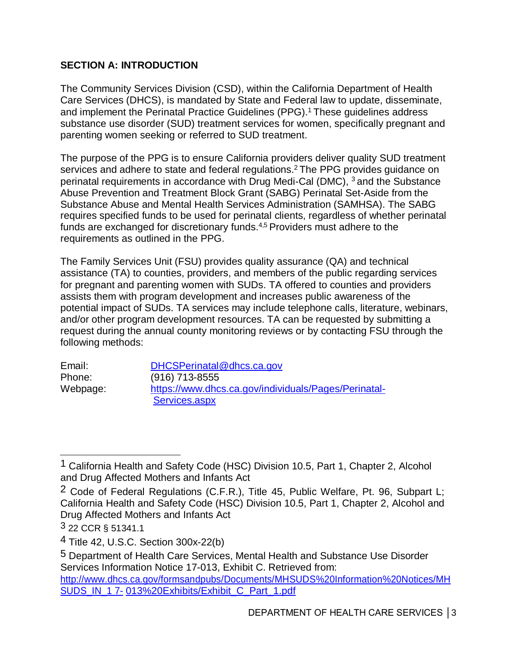# **SECTION A: INTRODUCTION**

The Community Services Division (CSD), within the California Department of Health Care Services (DHCS), is mandated by State and Federal law to update, disseminate, and implement the Perinatal Practice Guidelines (PPG). 1 These guidelines address substance use disorder (SUD) treatment services for women, specifically pregnant and parenting women seeking or referred to SUD treatment.

The purpose of the PPG is to ensure California providers deliver quality SUD treatment services and adhere to state and federal regulations. 2 The PPG provides guidance on perinatal requirements in accordance with Drug Medi-Cal (DMC), 3 and the Substance Abuse Prevention and Treatment Block Grant (SABG) Perinatal Set-Aside from the Substance Abuse and Mental Health Services Administration (SAMHSA). The SABG requires specified funds to be used for perinatal clients, regardless of whether perinatal funds are exchanged for discretionary funds.<sup>4,5</sup> Providers must adhere to the requirements as outlined in the PPG.

The Family Services Unit (FSU) provides quality assurance (QA) and technical assistance (TA) to counties, providers, and members of the public regarding services for pregnant and parenting women with SUDs. TA offered to counties and providers assists them with program development and increases public awareness of the potential impact of SUDs. TA services may include telephone calls, literature, webinars, and/or other program development resources. TA can be requested by submitting a request during the annual county monitoring reviews or by contacting FSU through the following methods:

| Email:   | DHCSPerinatal@dhcs.ca.gov                            |
|----------|------------------------------------------------------|
| Phone:   | $(916)$ 713-8555                                     |
| Webpage: | https://www.dhcs.ca.gov/individuals/Pages/Perinatal- |
|          | Services.aspx                                        |

<sup>1</sup> California Health and Safety Code (HSC) Division 10.5, Part 1, Chapter 2, Alcohol and Drug Affected Mothers and Infants Act

<sup>2</sup> Code of Federal Regulations (C.F.R.), Title 45, Public Welfare, Pt. 96, Subpart L; California Health and Safety Code (HSC) Division 10.5, Part 1, Chapter 2, Alcohol and Drug Affected Mothers and Infants Act

<sup>3 22</sup> CCR § 51341.1

<sup>4</sup> Title 42, U.S.C. Section 300x-22(b)

<sup>5</sup> Department of Health Care Services, Mental Health and Substance Use Disorder Services Information Notice 17-013, Exhibit C. Retrieved from:

[http://www.dhcs.ca.gov/formsandpubs/Documents/MHSUDS%20Information%20Notices/MH](https://www.dhcs.ca.gov/formsandpubs/Documents/MHSUDS%20Information%20Notices/MHSUDS_IN_17-013%20Exhibits/Exhibit_C_Part_1.pdf) SUDS\_IN\_1 7- 013%20Exhibits/Exhibit\_C\_Part\_1.pdf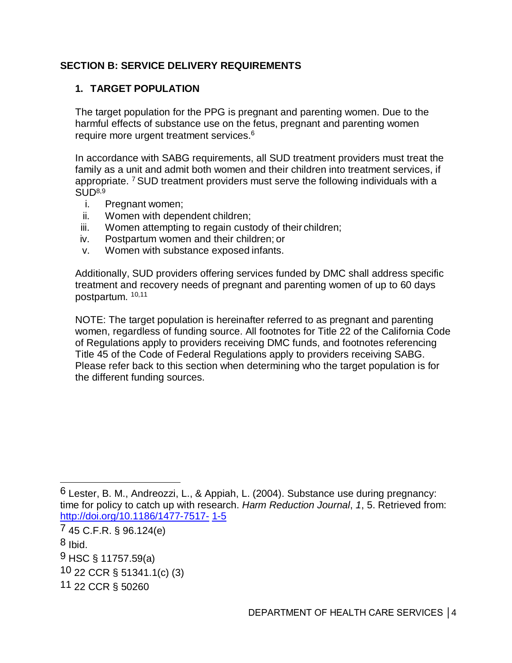#### **SECTION B: SERVICE DELIVERY REQUIREMENTS**

#### **1. TARGET POPULATION**

The target population for the PPG is pregnant and parenting women. Due to the harmful effects of substance use on the fetus, pregnant and parenting women require more urgent treatment services. 6

In accordance with SABG requirements, all SUD treatment providers must treat the family as a unit and admit both women and their children into treatment services, if appropriate. <sup>7</sup> SUD treatment providers must serve the following individuals with a  $SIJD<sup>8,9</sup>$ 

- i. Pregnant women;
- ii. Women with dependent children;
- iii. Women attempting to regain custody of their children;
- iv. Postpartum women and their children; or
- v. Women with substance exposed infants.

Additionally, SUD providers offering services funded by DMC shall address specific treatment and recovery needs of pregnant and parenting women of up to 60 days postpartum. 10,11

NOTE: The target population is hereinafter referred to as pregnant and parenting women, regardless of funding source. All footnotes for Title 22 of the California Code of Regulations apply to providers receiving DMC funds, and footnotes referencing Title 45 of the Code of Federal Regulations apply to providers receiving SABG. Please refer back to this section when determining who the target population is for the different funding sources.

<sup>6</sup> Lester, B. M., Andreozzi, L., & Appiah, L. (2004). Substance use during pregnancy: time for policy to catch up with research. *Harm Reduction Journal*, *1*, 5. Retrieved from: [http://doi.org/10.1186/1477-7517-](https://harmreductionjournal.biomedcentral.com/articles/10.1186/1477-7517-1-5) 1-5

<sup>7 45</sup> C.F.R. § 96.124(e)

 $8$  Ibid.

<sup>9</sup> HSC § 11757.59(a)

<sup>10 22</sup> CCR § 51341.1(c) (3)

<sup>11 22</sup> CCR § 50260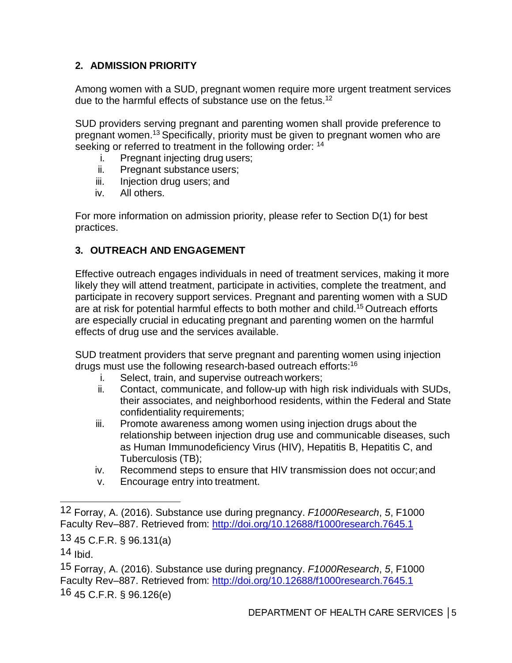# **2. ADMISSION PRIORITY**

Among women with a SUD, pregnant women require more urgent treatment services due to the harmful effects of substance use on the fetus.<sup>12</sup>

SUD providers serving pregnant and parenting women shall provide preference to pregnant women.13 Specifically, priority must be given to pregnant women who are seeking or referred to treatment in the following order: <sup>14</sup>

- i. Pregnant injecting drug users;
- ii. Pregnant substance users;
- iii. Injection drug users; and
- iv. All others.

For more information on admission priority, please refer to Section D(1) for best practices.

#### **3. OUTREACH AND ENGAGEMENT**

Effective outreach engages individuals in need of treatment services, making it more likely they will attend treatment, participate in activities, complete the treatment, and participate in recovery support services. Pregnant and parenting women with a SUD are at risk for potential harmful effects to both mother and child.<sup>15</sup> Outreach efforts are especially crucial in educating pregnant and parenting women on the harmful effects of drug use and the services available.

SUD treatment providers that serve pregnant and parenting women using injection drugs must use the following research-based outreach efforts: 16

- i. Select, train, and supervise outreach workers;
- ii. Contact, communicate, and follow-up with high risk individuals with SUDs, their associates, and neighborhood residents, within the Federal and State confidentiality requirements;
- iii. Promote awareness among women using injection drugs about the relationship between injection drug use and communicable diseases, such as Human Immunodeficiency Virus (HIV), Hepatitis B, Hepatitis C, and Tuberculosis (TB);
- iv. Recommend steps to ensure that HIV transmission does not occur;and
- v. Encourage entry into treatment.

<sup>12</sup> Forray, A. (2016). Substance use during pregnancy. *F1000Research*, *5*, F1000 Faculty Rev–887. Retrieved from: [http://doi.org/10.12688/f1000research.7645.1](https://f1000research.com/articles/5-887/v1)

<sup>13 45</sup> C.F.R. § 96.131(a)

<sup>14</sup> Ibid.

<sup>15</sup> Forray, A. (2016). Substance use during pregnancy. *F1000Research*, *5*, F1000 Faculty Rev–887. Retrieved from: [http://doi.org/10.12688/f1000research.7645.1](https://f1000research.com/articles/5-887/v1) 16 45 C.F.R. § 96.126(e)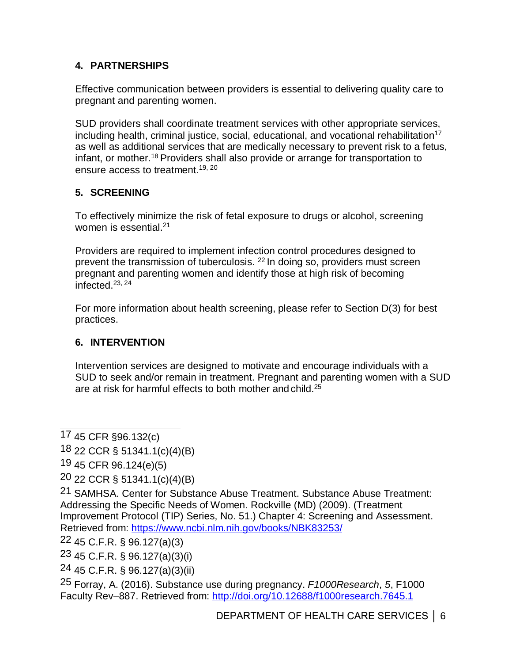# **4. PARTNERSHIPS**

Effective communication between providers is essential to delivering quality care to pregnant and parenting women.

SUD providers shall coordinate treatment services with other appropriate services, including health, criminal justice, social, educational, and vocational rehabilitation<sup>17</sup> as well as additional services that are medically necessary to prevent risk to a fetus, infant, or mother.<sup>18</sup> Providers shall also provide or arrange for transportation to ensure access to treatment.<sup>19, 20</sup>

# **5. SCREENING**

To effectively minimize the risk of fetal exposure to drugs or alcohol, screening women is essential. 21

Providers are required to implement infection control procedures designed to prevent the transmission of tuberculosis. 22 In doing so, providers must screen pregnant and parenting women and identify those at high risk of becoming  $intercepted$ <sup>23, 24</sup>

For more information about health screening, please refer to Section D(3) for best practices.

#### **6. INTERVENTION**

Intervention services are designed to motivate and encourage individuals with a SUD to seek and/or remain in treatment. Pregnant and parenting women with a SUD are at risk for harmful effects to both mother and child.<sup>25</sup>

<sup>17 45</sup> CFR §96.132(c)

<sup>18 22</sup> CCR § 51341.1(c)(4)(B)

<sup>19 45</sup> CFR 96.124(e)(5)

<sup>20 22</sup> CCR § 51341.1(c)(4)(B)

<sup>21</sup> SAMHSA. Center for Substance Abuse Treatment. Substance Abuse Treatment: Addressing the Specific Needs of Women. Rockville (MD) (2009). (Treatment Improvement Protocol (TIP) Series, No. 51.) Chapter 4: Screening and Assessment. Retrieved from: <https://www.ncbi.nlm.nih.gov/books/NBK83253/>

<sup>22 45</sup> C.F.R. § 96.127(a)(3)

<sup>23 45</sup> C.F.R. § 96.127(a)(3)(i)

<sup>24 45</sup> C.F.R. § 96.127(a)(3)(ii)

<sup>25</sup> Forray, A. (2016). Substance use during pregnancy. *F1000Research*, *5*, F1000 Faculty Rev–887. Retrieved from: [http://doi.org/10.12688/f1000research.7645.1](https://f1000research.com/articles/5-887/v1)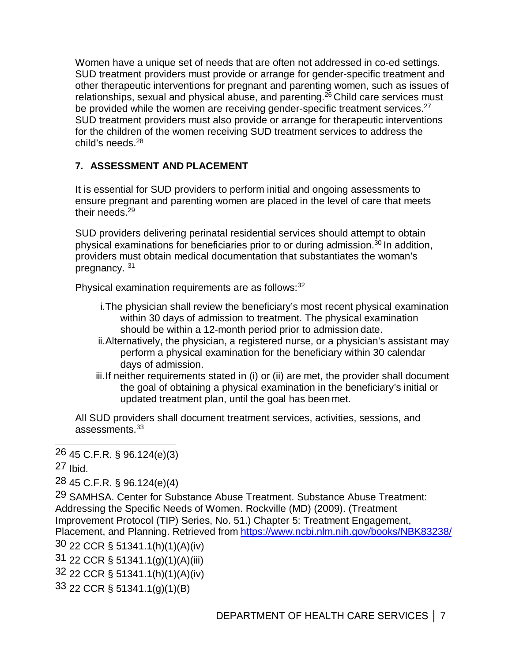Women have a unique set of needs that are often not addressed in co-ed settings. SUD treatment providers must provide or arrange for gender-specific treatment and other therapeutic interventions for pregnant and parenting women, such as issues of relationships, sexual and physical abuse, and parenting.<sup>26</sup> Child care services must be provided while the women are receiving gender-specific treatment services.<sup>27</sup> SUD treatment providers must also provide or arrange for therapeutic interventions for the children of the women receiving SUD treatment services to address the child's needs. $28$ 

# **7. ASSESSMENT AND PLACEMENT**

It is essential for SUD providers to perform initial and ongoing assessments to ensure pregnant and parenting women are placed in the level of care that meets their needs. 29

SUD providers delivering perinatal residential services should attempt to obtain physical examinations for beneficiaries prior to or during admission.<sup>30</sup> In addition, providers must obtain medical documentation that substantiates the woman's pregnancy. 31

Physical examination requirements are as follows:<sup>32</sup>

- i.The physician shall review the beneficiary's most recent physical examination within 30 days of admission to treatment. The physical examination should be within a 12-month period prior to admission date.
- ii.Alternatively, the physician, a registered nurse, or a physician's assistant may perform a physical examination for the beneficiary within 30 calendar days of admission.
- iii.If neither requirements stated in (i) or (ii) are met, the provider shall document the goal of obtaining a physical examination in the beneficiary's initial or updated treatment plan, until the goal has been met.

All SUD providers shall document treatment services, activities, sessions, and assessments.33

27 Ibid.

28 45 C.F.R. § 96.124(e)(4)

29 SAMHSA. Center for Substance Abuse Treatment. Substance Abuse Treatment: Addressing the Specific Needs of Women. Rockville (MD) (2009). (Treatment Improvement Protocol (TIP) Series, No. 51.) Chapter 5: Treatment Engagement, Placement, and Planning. Retrieved from <https://www.ncbi.nlm.nih.gov/books/NBK83238/>

30 22 CCR § 51341.1(h)(1)(A)(iv)

31 22 CCR § 51341.1(g)(1)(A)(iii)

32 22 CCR § 51341.1(h)(1)(A)(iv)

33 22 CCR § 51341.1(g)(1)(B)

<sup>26 45</sup> C.F.R. § 96.124(e)(3)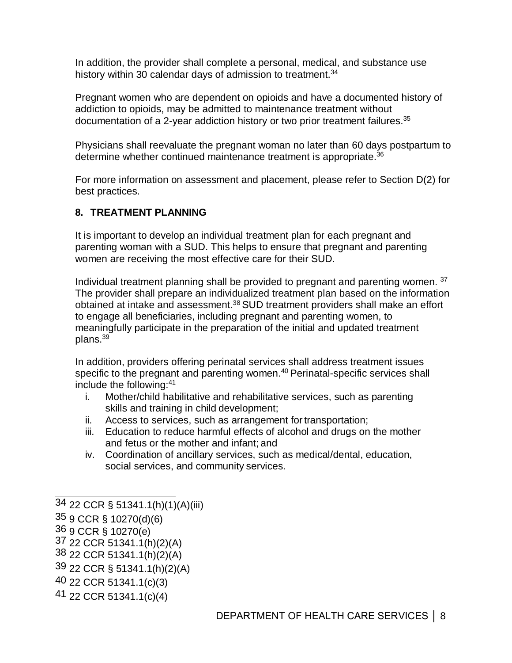In addition, the provider shall complete a personal, medical, and substance use history within 30 calendar days of admission to treatment.<sup>34</sup>

Pregnant women who are dependent on opioids and have a documented history of addiction to opioids, may be admitted to maintenance treatment without documentation of a 2-year addiction history or two prior treatment failures.<sup>35</sup>

Physicians shall reevaluate the pregnant woman no later than 60 days postpartum to determine whether continued maintenance treatment is appropriate.<sup>36</sup>

For more information on assessment and placement, please refer to Section D(2) for best practices.

#### **8. TREATMENT PLANNING**

It is important to develop an individual treatment plan for each pregnant and parenting woman with a SUD. This helps to ensure that pregnant and parenting women are receiving the most effective care for their SUD.

Individual treatment planning shall be provided to pregnant and parenting women. 37 The provider shall prepare an individualized treatment plan based on the information obtained at intake and assessment. 38 SUD treatment providers shall make an effort to engage all beneficiaries, including pregnant and parenting women, to meaningfully participate in the preparation of the initial and updated treatment plans. 39

In addition, providers offering perinatal services shall address treatment issues specific to the pregnant and parenting women.<sup>40</sup> Perinatal-specific services shall include the following:41

- i. Mother/child habilitative and rehabilitative services, such as parenting skills and training in child development;
- ii. Access to services, such as arrangement for transportation;
- iii. Education to reduce harmful effects of alcohol and drugs on the mother and fetus or the mother and infant; and
- iv. Coordination of ancillary services, such as medical/dental, education, social services, and community services.

<sup>34 22</sup> CCR § 51341.1(h)(1)(A)(iii)

<sup>35 9</sup> CCR § 10270(d)(6)

 $37$  22 CCR 51341.1(h)(2)(A)

<sup>38 22</sup> CCR 51341.1(h)(2)(A)

<sup>39 22</sup> CCR § 51341.1(h)(2)(A)

<sup>40 22</sup> CCR 51341.1(c)(3)

<sup>41 22</sup> CCR 51341.1(c)(4)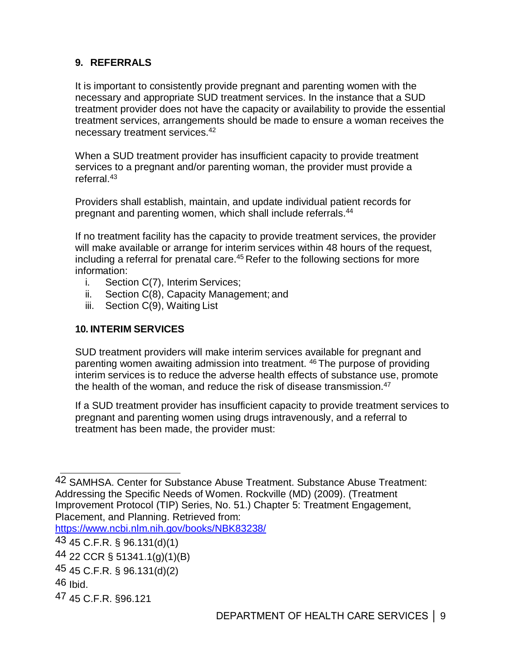### **9. REFERRALS**

It is important to consistently provide pregnant and parenting women with the necessary and appropriate SUD treatment services. In the instance that a SUD treatment provider does not have the capacity or availability to provide the essential treatment services, arrangements should be made to ensure a woman receives the necessary treatment services. 42

When a SUD treatment provider has insufficient capacity to provide treatment services to a pregnant and/or parenting woman, the provider must provide a referral. 43

Providers shall establish, maintain, and update individual patient records for pregnant and parenting women, which shall include referrals. 44

If no treatment facility has the capacity to provide treatment services, the provider will make available or arrange for interim services within 48 hours of the request, including a referral for prenatal care. $45$  Refer to the following sections for more information:

- i. Section C(7), Interim Services;
- ii. Section C(8), Capacity Management; and
- iii. Section C(9), Waiting List

#### **10. INTERIM SERVICES**

SUD treatment providers will make interim services available for pregnant and parenting women awaiting admission into treatment. 46 The purpose of providing interim services is to reduce the adverse health effects of substance use, promote the health of the woman, and reduce the risk of disease transmission.<sup>47</sup>

If a SUD treatment provider has insufficient capacity to provide treatment services to pregnant and parenting women using drugs intravenously, and a referral to treatment has been made, the provider must:

<https://www.ncbi.nlm.nih.gov/books/NBK83238/>

<sup>42</sup> SAMHSA. Center for Substance Abuse Treatment. Substance Abuse Treatment: Addressing the Specific Needs of Women. Rockville (MD) (2009). (Treatment Improvement Protocol (TIP) Series, No. 51.) Chapter 5: Treatment Engagement, Placement, and Planning. Retrieved from:

<sup>43 45</sup> C.F.R. § 96.131(d)(1)

<sup>44 22</sup> CCR § 51341.1(g)(1)(B)

<sup>45 45</sup> C.F.R. § 96.131(d)(2)

<sup>46</sup> Ibid.

<sup>47 45</sup> C.F.R. §96.121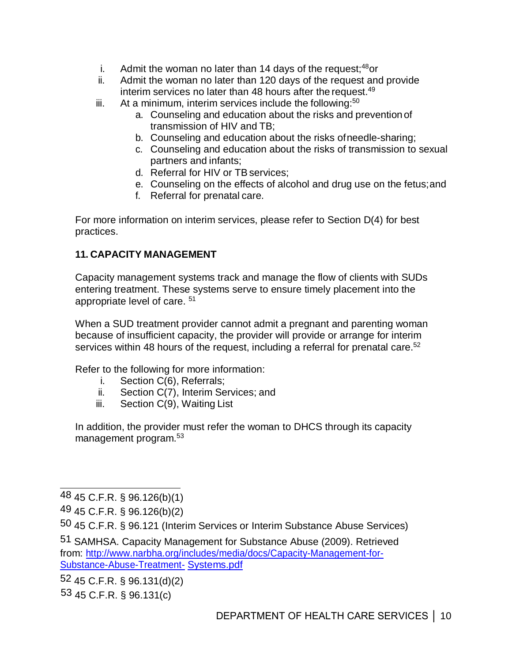- i. Admit the woman no later than 14 days of the request;<sup>48</sup>or
- ii. Admit the woman no later than 120 days of the request and provide interim services no later than 48 hours after the request. 49
- iii. At a minimum, interim services include the following: $50$ 
	- a. Counseling and education about the risks and prevention of transmission of HIV and TB;
	- b. Counseling and education about the risks ofneedle-sharing;
	- c. Counseling and education about the risks of transmission to sexual partners and infants;
	- d. Referral for HIV or TBservices;
	- e. Counseling on the effects of alcohol and drug use on the fetus;and
	- f. Referral for prenatal care.

For more information on interim services, please refer to Section D(4) for best practices.

#### **11. CAPACITY MANAGEMENT**

Capacity management systems track and manage the flow of clients with SUDs entering treatment. These systems serve to ensure timely placement into the appropriate level of care. <sup>51</sup>

When a SUD treatment provider cannot admit a pregnant and parenting woman because of insufficient capacity, the provider will provide or arrange for interim services within 48 hours of the request, including a referral for prenatal care.<sup>52</sup>

Refer to the following for more information:

- i. Section C(6), Referrals;
- ii. Section C(7), Interim Services; and
- iii. Section C(9), Waiting List

In addition, the provider must refer the woman to DHCS through its capacity management program. 53

52 45 C.F.R. § 96.131(d)(2)

53 45 C.F.R. § 96.131(c)

<sup>48 45</sup> C.F.R. § 96.126(b)(1)

<sup>49 45</sup> C.F.R. § 96.126(b)(2)

<sup>50 45</sup> C.F.R. § 96.121 (Interim Services or Interim Substance Abuse Services)

<sup>51</sup> SAMHSA. Capacity Management for Substance Abuse (2009). Retrieved from: [http://www.narbha.org/includes/media/docs/Capacity-Management-for-](http://www.narbha.org/includes/media/docs/Capacity-Management-for-Substance-Abuse-Treatment-Systems.pdf)[Substance-Abuse-Treatment-](http://www.narbha.org/includes/media/docs/Capacity-Management-for-Substance-Abuse-Treatment-Systems.pdf) Systems.pdf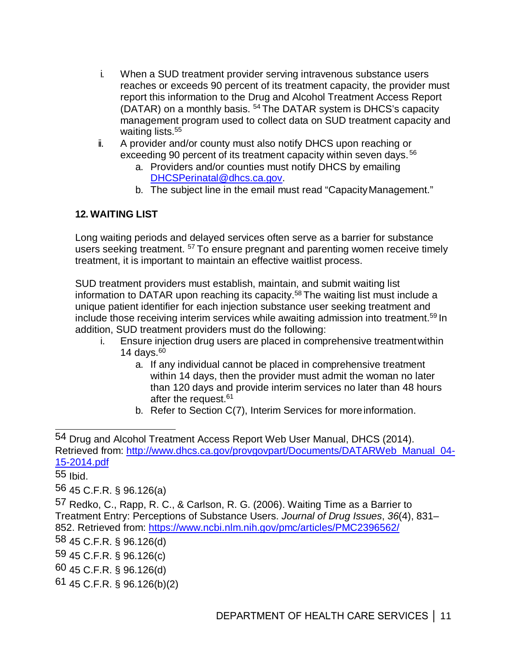- i. When a SUD treatment provider serving intravenous substance users reaches or exceeds 90 percent of its treatment capacity, the provider must report this information to the Drug and Alcohol Treatment Access Report (DATAR) on a monthly basis. <sup>54</sup> The DATAR system is DHCS's capacity management program used to collect data on SUD treatment capacity and waiting lists. 55
- ii. A provider and/or county must also notify DHCS upon reaching or exceeding 90 percent of its treatment capacity within seven days.<sup>56</sup>
	- a. Providers and/or counties must notify DHCS by emailing [DHCSPerinatal@dhcs.ca.gov.](Mailto: DHCSPerinatal@dhcs.ca.gov)
	- b. The subject line in the email must read "Capacity Management."

# **12. WAITING LIST**

Long waiting periods and delayed services often serve as a barrier for substance users seeking treatment. <sup>57</sup> To ensure pregnant and parenting women receive timely treatment, it is important to maintain an effective waitlist process.

SUD treatment providers must establish, maintain, and submit waiting list information to DATAR upon reaching its capacity. 58 The waiting list must include a unique patient identifier for each injection substance user seeking treatment and include those receiving interim services while awaiting admission into treatment. 59 In addition, SUD treatment providers must do the following:

- i. Ensure injection drug users are placed in comprehensive treatmentwithin 14 days. $60<sub>1</sub>$ 
	- a. If any individual cannot be placed in comprehensive treatment within 14 days, then the provider must admit the woman no later than 120 days and provide interim services no later than 48 hours after the request. 61
	- b. Refer to Section C(7), Interim Services for moreinformation.

55 Ibid.

56 45 C.F.R. § 96.126(a)

59 45 C.F.R. § 96.126(c)

60 45 C.F.R. § 96.126(d)

61 45 C.F.R. § 96.126(b)(2)

<sup>54</sup> Drug and Alcohol Treatment Access Report Web User Manual, DHCS (2014). Retrieved from: [http://www.dhcs.ca.gov/provgovpart/Documents/DATARWeb\\_Manual\\_04-](https://www.dhcs.ca.gov/provgovpart/Documents/DATARWeb_Manual_04-15-2014.pdf) [15-2014.pdf](https://www.dhcs.ca.gov/provgovpart/Documents/DATARWeb_Manual_04-15-2014.pdf)

<sup>57</sup> Redko, C., Rapp, R. C., & Carlson, R. G. (2006). Waiting Time as a Barrier to Treatment Entry: Perceptions of Substance Users. *Journal of Drug Issues*, *36*(4), 831– 852. Retrieved from: <https://www.ncbi.nlm.nih.gov/pmc/articles/PMC2396562/>

<sup>58 45</sup> C.F.R. § 96.126(d)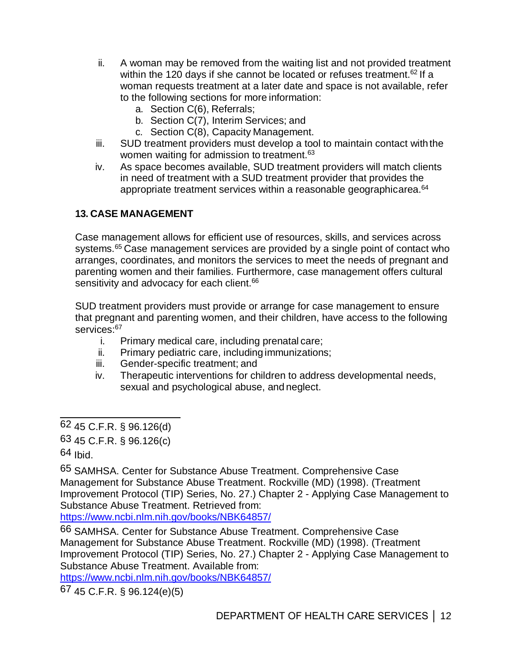- ii. A woman may be removed from the waiting list and not provided treatment within the 120 days if she cannot be located or refuses treatment.<sup>62</sup> If a woman requests treatment at a later date and space is not available, refer to the following sections for more information:
	- a. Section C(6), Referrals;
	- b. Section C(7), Interim Services; and
	- c. Section C(8), Capacity Management.
- iii. SUD treatment providers must develop a tool to maintain contact with the women waiting for admission to treatment.<sup>63</sup>
- iv. As space becomes available, SUD treatment providers will match clients in need of treatment with a SUD treatment provider that provides the appropriate treatment services within a reasonable geographicarea.<sup>64</sup>

#### **13. CASE MANAGEMENT**

Case management allows for efficient use of resources, skills, and services across systems.<sup>65</sup> Case management services are provided by a single point of contact who arranges, coordinates, and monitors the services to meet the needs of pregnant and parenting women and their families. Furthermore, case management offers cultural sensitivity and advocacy for each client.<sup>66</sup>

SUD treatment providers must provide or arrange for case management to ensure that pregnant and parenting women, and their children, have access to the following services:<sup>67</sup>

- i. Primary medical care, including prenatal care;
- ii. Primary pediatric care, including immunizations;
- iii. Gender-specific treatment; and
- iv. Therapeutic interventions for children to address developmental needs, sexual and psychological abuse, and neglect.

65 SAMHSA. Center for Substance Abuse Treatment. Comprehensive Case Management for Substance Abuse Treatment. Rockville (MD) (1998). (Treatment Improvement Protocol (TIP) Series, No. 27.) Chapter 2 - Applying Case Management to Substance Abuse Treatment. Retrieved from:

<https://www.ncbi.nlm.nih.gov/books/NBK64857/>

66 SAMHSA. Center for Substance Abuse Treatment. Comprehensive Case Management for Substance Abuse Treatment. Rockville (MD) (1998). (Treatment Improvement Protocol (TIP) Series, No. 27.) Chapter 2 - Applying Case Management to Substance Abuse Treatment. Available from:

<https://www.ncbi.nlm.nih.gov/books/NBK64857/>

67 45 C.F.R. § 96.124(e)(5)

<sup>62 45</sup> C.F.R. § 96.126(d)

<sup>63 45</sup> C.F.R. § 96.126(c)

<sup>64</sup> Ibid.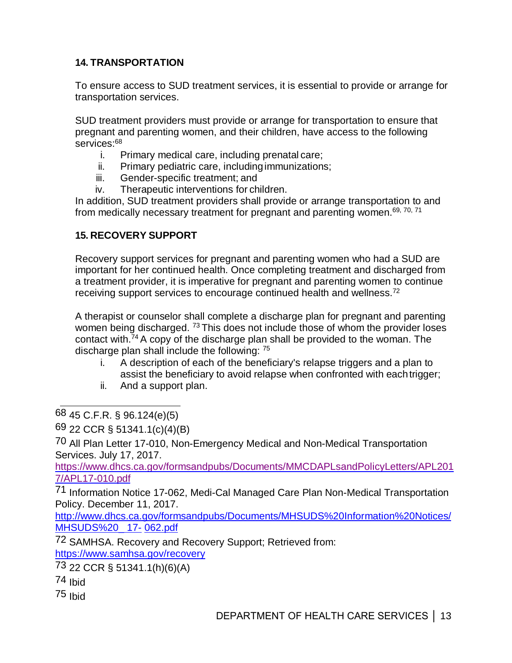# **14. TRANSPORTATION**

To ensure access to SUD treatment services, it is essential to provide or arrange for transportation services.

SUD treatment providers must provide or arrange for transportation to ensure that pregnant and parenting women, and their children, have access to the following services:<sup>68</sup>

- i. Primary medical care, including prenatal care;
- ii. Primary pediatric care, includingimmunizations;
- iii. Gender-specific treatment; and
- iv. Therapeutic interventions for children.

In addition, SUD treatment providers shall provide or arrange transportation to and from medically necessary treatment for pregnant and parenting women.<sup>69, 70, 71</sup>

#### **15. RECOVERY SUPPORT**

Recovery support services for pregnant and parenting women who had a SUD are important for her continued health. Once completing treatment and discharged from a treatment provider, it is imperative for pregnant and parenting women to continue receiving support services to encourage continued health and wellness.<sup>72</sup>

A therapist or counselor shall complete a discharge plan for pregnant and parenting women being discharged. <sup>73</sup> This does not include those of whom the provider loses contact with.<sup>74</sup> A copy of the discharge plan shall be provided to the woman. The discharge plan shall include the following: <sup>75</sup>

- i. A description of each of the beneficiary's relapse triggers and a plan to assist the beneficiary to avoid relapse when confronted with eachtrigger;
- ii. And a support plan.

68 45 C.F.R. § 96.124(e)(5)

69 22 CCR § 51341.1(c)(4)(B)

70 All Plan Letter 17-010, Non-Emergency Medical and Non-Medical Transportation Services. July 17, 2017.

https://www.dhcs.ca.gov/formsandpubs/Documents/MMCDAPLsandPolicyLetters/APL201 7/APL17-010.pdf

71 Information Notice 17-062, Medi-Cal Managed Care Plan Non-Medical Transportation Policy. December 11, 2017.

http://www.dhcs.ca.gov/formsandpubs/Documents/MHSUDS%20Information%20Notices/ MHSUDS%20\_ 17- 062.pdf

72 SAMHSA. Recovery and Recovery Support; Retrieved from: https://www.samhsa.gov/recovery

73 22 CCR § 51341.1(h)(6)(A)

- 74 Ibid
- 75 Ibid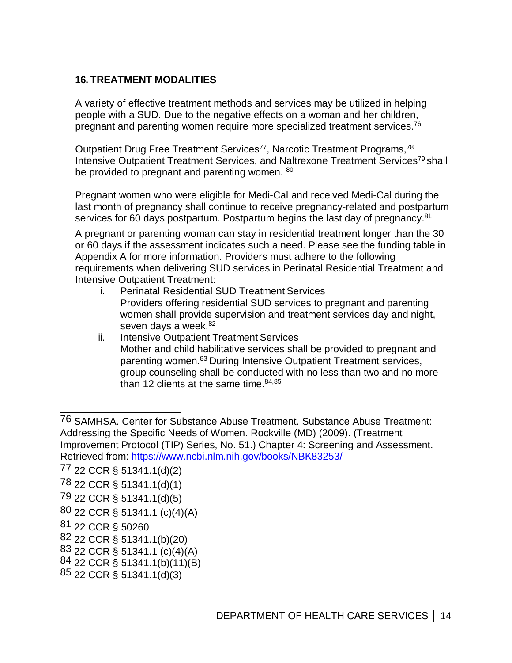#### **16. TREATMENT MODALITIES**

A variety of effective treatment methods and services may be utilized in helping people with a SUD. Due to the negative effects on a woman and her children, pregnant and parenting women require more specialized treatment services. $^{76}$ 

Outpatient Drug Free Treatment Services<sup>77</sup>, Narcotic Treatment Programs,<sup>78</sup> Intensive Outpatient Treatment Services, and Naltrexone Treatment Services<sup>79</sup> shall be provided to pregnant and parenting women. <sup>80</sup>

Pregnant women who were eligible for Medi-Cal and received Medi-Cal during the last month of pregnancy shall continue to receive pregnancy-related and postpartum services for 60 days postpartum. Postpartum begins the last day of pregnancy.<sup>81</sup>

A pregnant or parenting woman can stay in residential treatment longer than the 30 or 60 days if the assessment indicates such a need. Please see the funding table in Appendix A for more information. Providers must adhere to the following requirements when delivering SUD services in Perinatal Residential Treatment and Intensive Outpatient Treatment:

- i. Perinatal Residential SUD Treatment Services Providers offering residential SUD services to pregnant and parenting women shall provide supervision and treatment services day and night, seven days a week. 82
- ii. Intensive Outpatient Treatment Services Mother and child habilitative services shall be provided to pregnant and parenting women.83 During Intensive Outpatient Treatment services, group counseling shall be conducted with no less than two and no more than 12 clients at the same time. $84,85$

77 22 CCR § 51341.1(d)(2)

- 79 22 CCR § 51341.1(d)(5)
- 80 22 CCR § 51341.1 (c)(4)(A)
- 81 22 CCR § 50260
- 82 22 CCR § 51341.1(b)(20)
- 83 22 CCR § 51341.1 (c)(4)(A)
- 84 22 CCR § 51341.1(b)(11)(B)
- 85 22 CCR § 51341.1(d)(3)

<sup>76</sup> SAMHSA. Center for Substance Abuse Treatment. Substance Abuse Treatment: Addressing the Specific Needs of Women. Rockville (MD) (2009). (Treatment Improvement Protocol (TIP) Series, No. 51.) Chapter 4: Screening and Assessment. Retrieved from: <https://www.ncbi.nlm.nih.gov/books/NBK83253/>

<sup>78 22</sup> CCR § 51341.1(d)(1)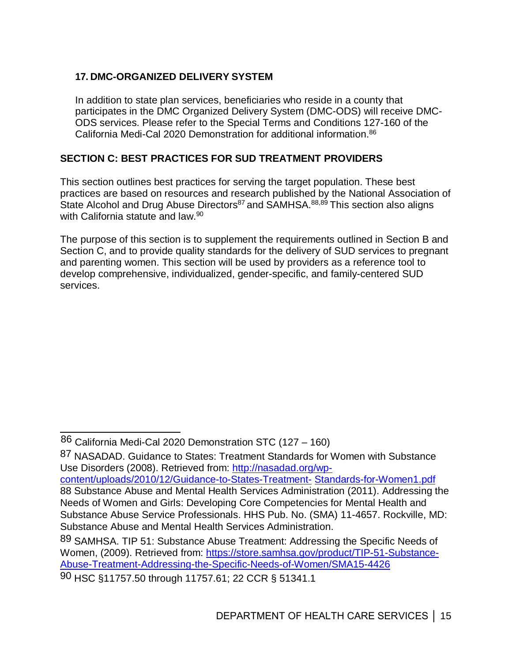## **17. DMC-ORGANIZED DELIVERY SYSTEM**

In addition to state plan services, beneficiaries who reside in a county that participates in the DMC Organized Delivery System (DMC-ODS) will receive DMC-ODS services. Please refer to the Special Terms and Conditions 127-160 of the California Medi-Cal 2020 Demonstration for additional information.<sup>86</sup>

#### **SECTION C: BEST PRACTICES FOR SUD TREATMENT PROVIDERS**

This section outlines best practices for serving the target population. These best practices are based on resources and research published by the National Association of State Alcohol and Drug Abuse Directors<sup>87</sup> and SAMHSA.<sup>88,89</sup> This section also aligns with California statute and law.<sup>90</sup>

The purpose of this section is to supplement the requirements outlined in Section B and Section C, and to provide quality standards for the delivery of SUD services to pregnant and parenting women. This section will be used by providers as a reference tool to develop comprehensive, individualized, gender-specific, and family-centered SUD services.

87 NASADAD. Guidance to States: Treatment Standards for Women with Substance Use Disorders (2008). Retrieved from: [http://nasadad.org/wp](https://nasadad.org/wp-content/uploads/2010/12/Guidance-to-States-Treatment-Standards-for-Women1.pdf)[content/uploads/2010/12/Guidance-to-States-Treatment-](https://nasadad.org/wp-content/uploads/2010/12/Guidance-to-States-Treatment-Standards-for-Women1.pdf) Standards-for-Women1.pdf 88 Substance Abuse and Mental Health Services Administration (2011). Addressing the Needs of Women and Girls: Developing Core Competencies for Mental Health and Substance Abuse Service Professionals. HHS Pub. No. (SMA) 11-4657. Rockville, MD: Substance Abuse and Mental Health Services Administration.

 <sup>86</sup> California Medi-Cal 2020 Demonstration STC (127 – 160)

<sup>89</sup> SAMHSA. TIP 51: Substance Abuse Treatment: Addressing the Specific Needs of Women, (2009). Retrieved from: [https://store.samhsa.gov/product/TIP-51-Substance-](https://store.samhsa.gov/product/TIP-51-Substance-Abuse-Treatment-Addressing-the-Specific-Needs-of-Women/SMA15-4426)[Abuse-Treatment-Addressing-the-Specific-Needs-of-Women/SMA15-4426](https://store.samhsa.gov/product/TIP-51-Substance-Abuse-Treatment-Addressing-the-Specific-Needs-of-Women/SMA15-4426)

<sup>90</sup> HSC §11757.50 through 11757.61; 22 CCR § 51341.1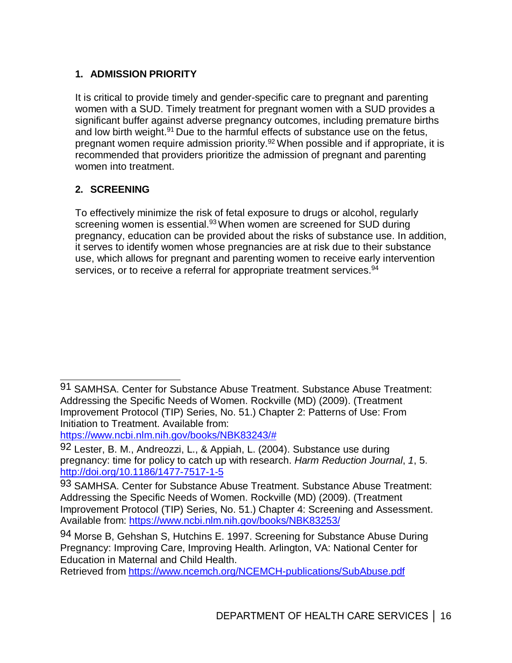# **1. ADMISSION PRIORITY**

It is critical to provide timely and gender-specific care to pregnant and parenting women with a SUD. Timely treatment for pregnant women with a SUD provides a significant buffer against adverse pregnancy outcomes, including premature births and low birth weight.<sup>91</sup> Due to the harmful effects of substance use on the fetus, pregnant women require admission priority. 92 When possible and if appropriate, it is recommended that providers prioritize the admission of pregnant and parenting women into treatment.

#### **2. SCREENING**

To effectively minimize the risk of fetal exposure to drugs or alcohol, regularly screening women is essential.<sup>93</sup> When women are screened for SUD during pregnancy, education can be provided about the risks of substance use. In addition, it serves to identify women whose pregnancies are at risk due to their substance use, which allows for pregnant and parenting women to receive early intervention services, or to receive a referral for appropriate treatment services.<sup>94</sup>

[https://www.ncbi.nlm.nih.gov/books/NBK83243/#](https://www.ncbi.nlm.nih.gov/books/NBK83243/)

Retrieved from <https://www.ncemch.org/NCEMCH-publications/SubAbuse.pdf>

<sup>91</sup> SAMHSA. Center for Substance Abuse Treatment. Substance Abuse Treatment: Addressing the Specific Needs of Women. Rockville (MD) (2009). (Treatment Improvement Protocol (TIP) Series, No. 51.) Chapter 2: Patterns of Use: From Initiation to Treatment. Available from:

<sup>92</sup> Lester, B. M., Andreozzi, L., & Appiah, L. (2004). Substance use during pregnancy: time for policy to catch up with research. *Harm Reduction Journal*, *1*, 5. [http://doi.org/10.1186/1477-7517-1-5](https://harmreductionjournal.biomedcentral.com/articles/10.1186/1477-7517-1-5)

<sup>93</sup> SAMHSA. Center for Substance Abuse Treatment. Substance Abuse Treatment: Addressing the Specific Needs of Women. Rockville (MD) (2009). (Treatment Improvement Protocol (TIP) Series, No. 51.) Chapter 4: Screening and Assessment. Available from: <https://www.ncbi.nlm.nih.gov/books/NBK83253/>

<sup>94</sup> Morse B, Gehshan S, Hutchins E. 1997. Screening for Substance Abuse During Pregnancy: Improving Care, Improving Health. Arlington, VA: National Center for Education in Maternal and Child Health.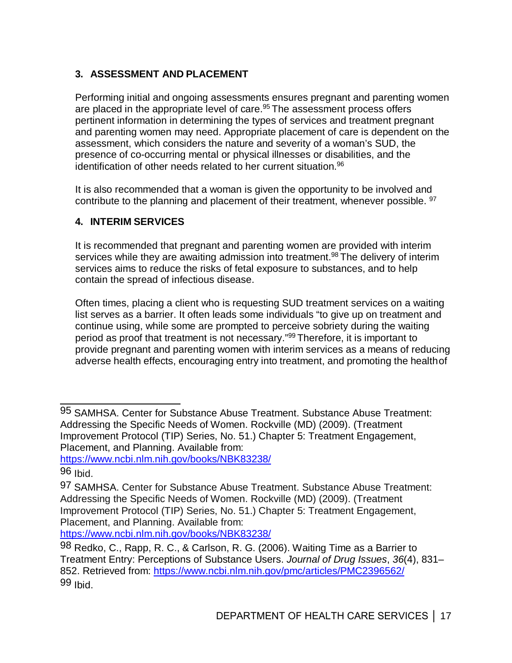# **3. ASSESSMENT AND PLACEMENT**

Performing initial and ongoing assessments ensures pregnant and parenting women are placed in the appropriate level of care.<sup>95</sup> The assessment process offers pertinent information in determining the types of services and treatment pregnant and parenting women may need. Appropriate placement of care is dependent on the assessment, which considers the nature and severity of a woman's SUD, the presence of co-occurring mental or physical illnesses or disabilities, and the identification of other needs related to her current situation. 96

It is also recommended that a woman is given the opportunity to be involved and contribute to the planning and placement of their treatment, whenever possible. <sup>97</sup>

#### **4. INTERIM SERVICES**

It is recommended that pregnant and parenting women are provided with interim services while they are awaiting admission into treatment.<sup>98</sup> The delivery of interim services aims to reduce the risks of fetal exposure to substances, and to help contain the spread of infectious disease.

Often times, placing a client who is requesting SUD treatment services on a waiting list serves as a barrier. It often leads some individuals "to give up on treatment and continue using, while some are prompted to perceive sobriety during the waiting period as proof that treatment is not necessary." 99 Therefore, it is important to provide pregnant and parenting women with interim services as a means of reducing adverse health effects, encouraging entry into treatment, and promoting the healthof

https://www.ncbi.nlm.nih.gov/books/NBK83238/

<sup>95</sup> SAMHSA. Center for Substance Abuse Treatment. Substance Abuse Treatment: Addressing the Specific Needs of Women. Rockville (MD) (2009). (Treatment Improvement Protocol (TIP) Series, No. 51.) Chapter 5: Treatment Engagement, Placement, and Planning. Available from:

<sup>96</sup> Ibid.

<sup>97</sup> SAMHSA. Center for Substance Abuse Treatment. Substance Abuse Treatment: Addressing the Specific Needs of Women. Rockville (MD) (2009). (Treatment Improvement Protocol (TIP) Series, No. 51.) Chapter 5: Treatment Engagement, Placement, and Planning. Available from: https://www.ncbi.nlm.nih.gov/books/NBK83238/

<sup>98</sup> Redko, C., Rapp, R. C., & Carlson, R. G. (2006). Waiting Time as a Barrier to Treatment Entry: Perceptions of Substance Users. *Journal of Drug Issues*, *36*(4), 831– 852. Retrieved from: https://www.ncbi.nlm.nih.gov/pmc/articles/PMC2396562/ 99 Ibid.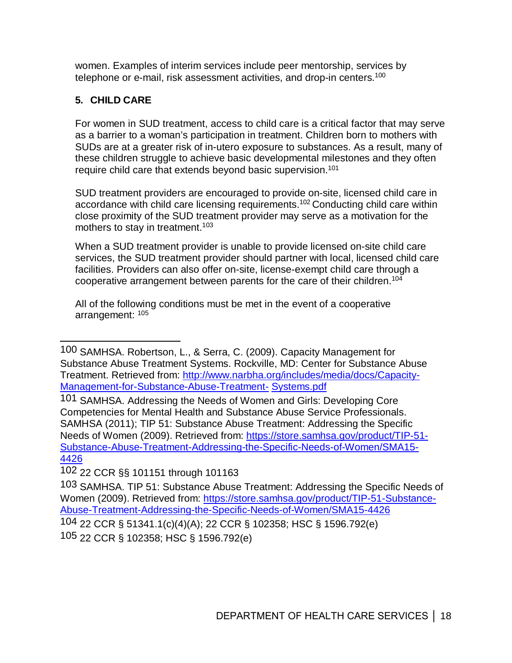women. Examples of interim services include peer mentorship, services by telephone or e-mail, risk assessment activities, and drop-in centers. $^{100}$ 

# **5. CHILD CARE**

For women in SUD treatment, access to child care is a critical factor that may serve as a barrier to a woman's participation in treatment. Children born to mothers with SUDs are at a greater risk of in-utero exposure to substances. As a result, many of these children struggle to achieve basic developmental milestones and they often require child care that extends beyond basic supervision.<sup>101</sup>

SUD treatment providers are encouraged to provide on-site, licensed child care in accordance with child care licensing requirements. 102 Conducting child care within close proximity of the SUD treatment provider may serve as a motivation for the mothers to stay in treatment. 103

When a SUD treatment provider is unable to provide licensed on-site child care services, the SUD treatment provider should partner with local, licensed child care facilities. Providers can also offer on-site, license-exempt child care through a cooperative arrangement between parents for the care of their children.104

All of the following conditions must be met in the event of a cooperative arrangement: <sup>105</sup>

102 22 CCR §§ 101151 through 101163

<sup>100</sup> SAMHSA. Robertson, L., & Serra, C. (2009). Capacity Management for Substance Abuse Treatment Systems. Rockville, MD: Center for Substance Abuse Treatment. Retrieved from: http://www.narbha.org/includes/media/docs/Capacity-Management-for-Substance-Abuse-Treatment- Systems.pdf

<sup>101</sup> SAMHSA. Addressing the Needs of Women and Girls: Developing Core Competencies for Mental Health and Substance Abuse Service Professionals. SAMHSA (2011); TIP 51: Substance Abuse Treatment: Addressing the Specific Needs of Women (2009). Retrieved from: https://store.samhsa.gov/product/TIP-51- Substance-Abuse-Treatment-Addressing-the-Specific-Needs-of-Women/SMA15- 4426

<sup>103</sup> SAMHSA. TIP 51: Substance Abuse Treatment: Addressing the Specific Needs of Women (2009). Retrieved from: https://store.samhsa.gov/product/TIP-51-Substance-Abuse-Treatment-Addressing-the-Specific-Needs-of-Women/SMA15-4426

<sup>104 22</sup> CCR § 51341.1(c)(4)(A); 22 CCR § 102358; HSC § 1596.792(e) 105 22 CCR § 102358; HSC § 1596.792(e)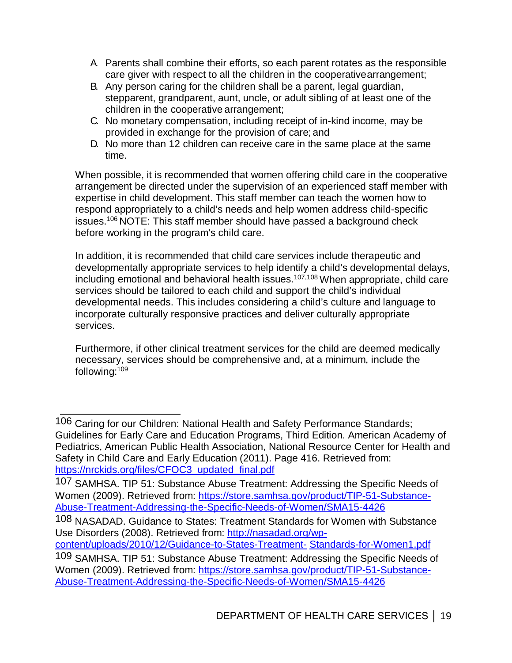- A. Parents shall combine their efforts, so each parent rotates as the responsible care giver with respect to all the children in the cooperativearrangement;
- B. Any person caring for the children shall be a parent, legal guardian, stepparent, grandparent, aunt, uncle, or adult sibling of at least one of the children in the cooperative arrangement;
- C. No monetary compensation, including receipt of in-kind income, may be provided in exchange for the provision of care; and
- D. No more than 12 children can receive care in the same place at the same time.

When possible, it is recommended that women offering child care in the cooperative arrangement be directed under the supervision of an experienced staff member with expertise in child development. This staff member can teach the women how to respond appropriately to a child's needs and help women address child-specific issues.106 NOTE: This staff member should have passed a background check before working in the program's child care.

In addition, it is recommended that child care services include therapeutic and developmentally appropriate services to help identify a child's developmental delays, including emotional and behavioral health issues. 107,108 When appropriate, child care services should be tailored to each child and support the child's individual developmental needs. This includes considering a child's culture and language to incorporate culturally responsive practices and deliver culturally appropriate services.

Furthermore, if other clinical treatment services for the child are deemed medically necessary, services should be comprehensive and, at a minimum, include the following: 109

[content/uploads/2010/12/Guidance-to-States-Treatment-](https://nasadad.org/wp-content/uploads/2010/12/Guidance-to-States-Treatment-Standards-for-Women1.pdf) Standards-for-Women1.pdf

<sup>106</sup> Caring for our Children: National Health and Safety Performance Standards; Guidelines for Early Care and Education Programs, Third Edition. American Academy of Pediatrics, American Public Health Association, National Resource Center for Health and Safety in Child Care and Early Education (2011). Page 416. Retrieved from: [https://nrckids.org/files/CFOC3\\_updated\\_final.pdf](https://nrckids.org/files/CFOC3_updated_final.pdf)

<sup>107</sup> SAMHSA. TIP 51: Substance Abuse Treatment: Addressing the Specific Needs of Women (2009). Retrieved from: [https://store.samhsa.gov/product/TIP-51-Substance-](https://store.samhsa.gov/product/TIP-51-Substance-Abuse-Treatment-Addressing-the-Specific-Needs-of-Women/SMA15-4426)[Abuse-Treatment-Addressing-the-Specific-Needs-of-Women/SMA15-4426](https://store.samhsa.gov/product/TIP-51-Substance-Abuse-Treatment-Addressing-the-Specific-Needs-of-Women/SMA15-4426)

<sup>108</sup> NASADAD. Guidance to States: Treatment Standards for Women with Substance Use Disorders (2008). Retrieved from: [http://nasadad.org/wp-](https://nasadad.org/wp-content/uploads/2010/12/Guidance-to-States-Treatment-Standards-for-Women1.pdf)

<sup>109</sup> SAMHSA. TIP 51: Substance Abuse Treatment: Addressing the Specific Needs of Women (2009). Retrieved from: [https://store.samhsa.gov/product/TIP-51-Substance-](https://store.samhsa.gov/product/TIP-51-Substance-Abuse-Treatment-Addressing-the-Specific-Needs-of-Women/SMA15-4426)[Abuse-Treatment-Addressing-the-Specific-Needs-of-Women/SMA15-4426](https://store.samhsa.gov/product/TIP-51-Substance-Abuse-Treatment-Addressing-the-Specific-Needs-of-Women/SMA15-4426)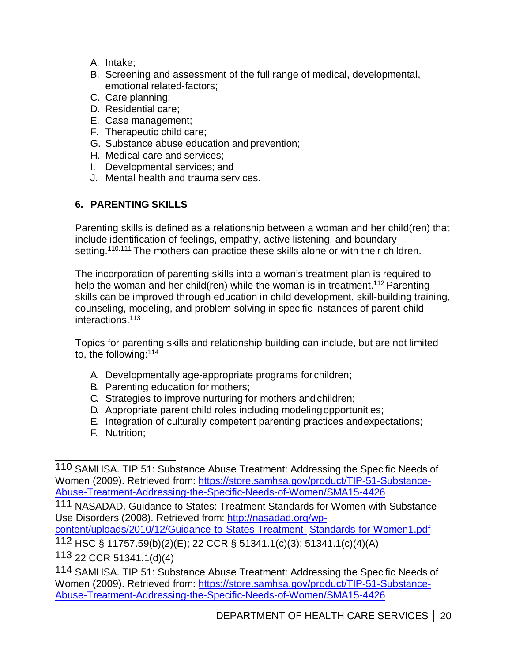- A. Intake;
- B. Screening and assessment of the full range of medical, developmental, emotional related-factors;
- C. Care planning;
- D. Residential care;
- E. Case management;
- F. Therapeutic child care;
- G. Substance abuse education and prevention;
- H. Medical care and services;
- I. Developmental services; and
- J. Mental health and trauma services.

# **6. PARENTING SKILLS**

Parenting skills is defined as a relationship between a woman and her child(ren) that include identification of feelings, empathy, active listening, and boundary setting.<sup>110,111</sup> The mothers can practice these skills alone or with their children.

The incorporation of parenting skills into a woman's treatment plan is required to help the woman and her child(ren) while the woman is in treatment.<sup>112</sup> Parenting skills can be improved through education in child development, skill-building training, counseling, modeling, and problem-solving in specific instances of parent-child interactions. 113

Topics for parenting skills and relationship building can include, but are not limited to, the following:114

- A. Developmentally age-appropriate programs for children;
- B. Parenting education for mothers;
- C. Strategies to improve nurturing for mothers and children;
- D. Appropriate parent child roles including modelingopportunities;
- E. Integration of culturally competent parenting practices andexpectations;
- F. Nutrition;

111 NASADAD. Guidance to States: Treatment Standards for Women with Substance Use Disorders (2008). Retrieved from: [http://nasadad.org/wp-](https://nasadad.org/wp-content/uploads/2010/12/Guidance-to-States-Treatment-Standards-for-Women1.pdf)

[content/uploads/2010/12/Guidance-to-States-Treatment-](https://nasadad.org/wp-content/uploads/2010/12/Guidance-to-States-Treatment-Standards-for-Women1.pdf) Standards-for-Women1.pdf

112 HSC § 11757.59(b)(2)(E); 22 CCR § 51341.1(c)(3); 51341.1(c)(4)(A)

113 22 CCR 51341.1(d)(4)

<sup>110</sup> SAMHSA. TIP 51: Substance Abuse Treatment: Addressing the Specific Needs of Women (2009). Retrieved from: [https://store.samhsa.gov/product/TIP-51-Substance-](https://store.samhsa.gov/product/TIP-51-Substance-Abuse-Treatment-Addressing-the-Specific-Needs-of-Women/SMA15-4426)[Abuse-Treatment-Addressing-the-Specific-Needs-of-Women/SMA15-4426](https://store.samhsa.gov/product/TIP-51-Substance-Abuse-Treatment-Addressing-the-Specific-Needs-of-Women/SMA15-4426)

<sup>114</sup> SAMHSA. TIP 51: Substance Abuse Treatment: Addressing the Specific Needs of Women (2009). Retrieved from: [https://store.samhsa.gov/product/TIP-51-Substance-](https://store.samhsa.gov/product/TIP-51-Substance-Abuse-Treatment-Addressing-the-Specific-Needs-of-Women/SMA15-4426)[Abuse-Treatment-Addressing-the-Specific-Needs-of-Women/SMA15-4426](https://store.samhsa.gov/product/TIP-51-Substance-Abuse-Treatment-Addressing-the-Specific-Needs-of-Women/SMA15-4426)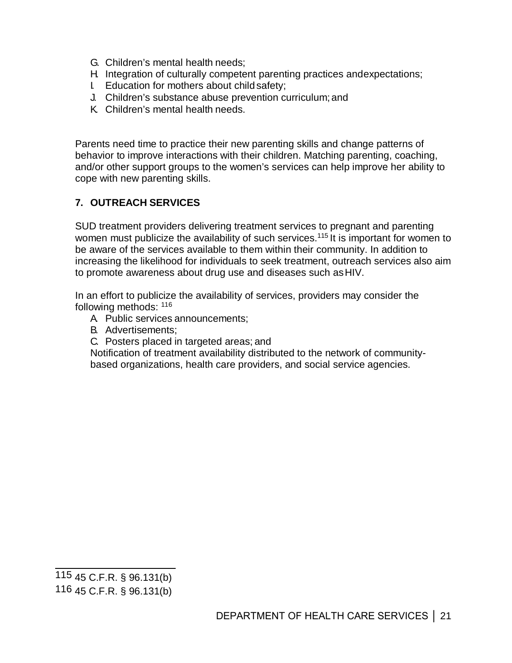- G. Children's mental health needs;
- H. Integration of culturally competent parenting practices andexpectations;
- I. Education for mothers about child safety;
- J. Children's substance abuse prevention curriculum; and
- K. Children's mental health needs.

Parents need time to practice their new parenting skills and change patterns of behavior to improve interactions with their children. Matching parenting, coaching, and/or other support groups to the women's services can help improve her ability to cope with new parenting skills.

# **7. OUTREACH SERVICES**

SUD treatment providers delivering treatment services to pregnant and parenting women must publicize the availability of such services.<sup>115</sup> It is important for women to be aware of the services available to them within their community. In addition to increasing the likelihood for individuals to seek treatment, outreach services also aim to promote awareness about drug use and diseases such asHIV.

In an effort to publicize the availability of services, providers may consider the following methods: <sup>116</sup>

- A. Public services announcements;
- B. Advertisements;
- C. Posters placed in targeted areas; and

Notification of treatment availability distributed to the network of communitybased organizations, health care providers, and social service agencies.

<sup>115 45</sup> C.F.R. § 96.131(b)

<sup>116 45</sup> C.F.R. § 96.131(b)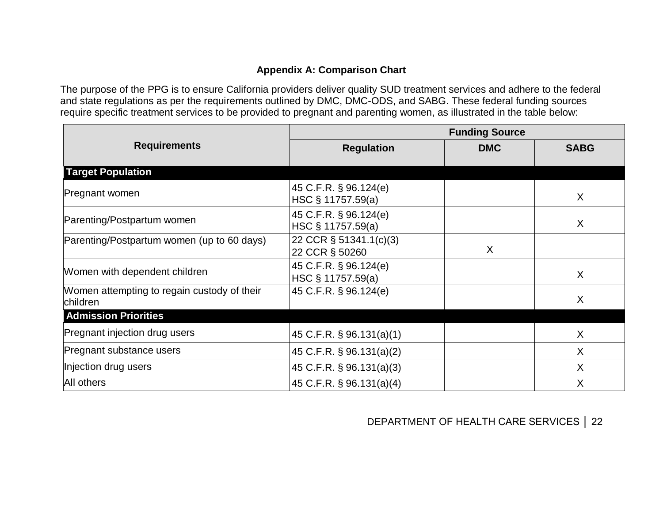#### **Appendix A: Comparison Chart**

The purpose of the PPG is to ensure California providers deliver quality SUD treatment services and adhere to the federal and state regulations as per the requirements outlined by DMC, DMC-ODS, and SABG. These federal funding sources require specific treatment services to be provided to pregnant and parenting women, as illustrated in the table below:

|                                                         | <b>Funding Source</b>                      |            |             |
|---------------------------------------------------------|--------------------------------------------|------------|-------------|
| <b>Requirements</b>                                     | <b>Regulation</b>                          | <b>DMC</b> | <b>SABG</b> |
| <b>Target Population</b>                                |                                            |            |             |
| Pregnant women                                          | 45 C.F.R. § 96.124(e)<br>HSC § 11757.59(a) |            | X           |
| Parenting/Postpartum women                              | 45 C.F.R. § 96.124(e)<br>HSC § 11757.59(a) |            | X           |
| Parenting/Postpartum women (up to 60 days)              | 22 CCR § 51341.1(c)(3)<br>22 CCR § 50260   | X          |             |
| Women with dependent children                           | 45 C.F.R. § 96.124(e)<br>HSC § 11757.59(a) |            | X           |
| Women attempting to regain custody of their<br>children | 45 C.F.R. § 96.124(e)                      |            | X           |
| <b>Admission Priorities</b>                             |                                            |            |             |
| Pregnant injection drug users                           | 45 C.F.R. § 96.131(a)(1)                   |            | X           |
| Pregnant substance users                                | 45 C.F.R. § 96.131(a)(2)                   |            | X           |
| Injection drug users                                    | 45 C.F.R. § 96.131(a)(3)                   |            | X           |
| All others                                              | $45$ C.F.R. § 96.131(a)(4)                 |            | X           |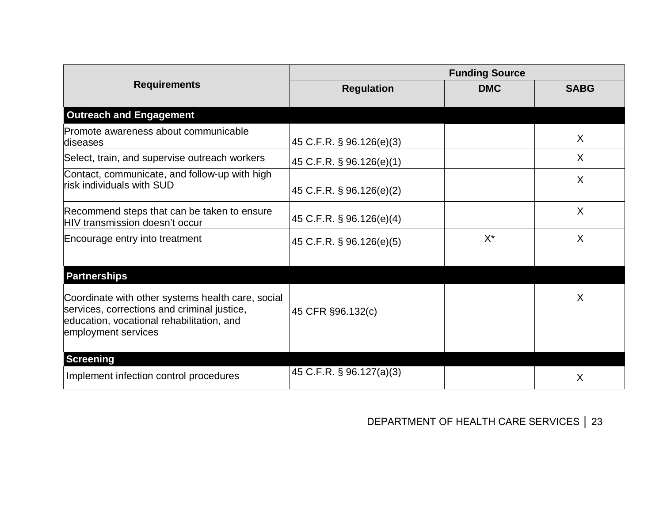|                                                                                                                                                                      | <b>Funding Source</b>    |            |             |
|----------------------------------------------------------------------------------------------------------------------------------------------------------------------|--------------------------|------------|-------------|
| <b>Requirements</b>                                                                                                                                                  | <b>Regulation</b>        | <b>DMC</b> | <b>SABG</b> |
| <b>Outreach and Engagement</b>                                                                                                                                       |                          |            |             |
| Promote awareness about communicable<br>diseases                                                                                                                     | 45 C.F.R. § 96.126(e)(3) |            | $\sf X$     |
| Select, train, and supervise outreach workers                                                                                                                        | 45 C.F.R. § 96.126(e)(1) |            | $\sf X$     |
| Contact, communicate, and follow-up with high<br>risk individuals with SUD                                                                                           | 45 C.F.R. § 96.126(e)(2) |            | $\sf X$     |
| Recommend steps that can be taken to ensure<br>HIV transmission doesn't occur                                                                                        | 45 C.F.R. § 96.126(e)(4) |            | X           |
| Encourage entry into treatment                                                                                                                                       | 45 C.F.R. § 96.126(e)(5) | $X^*$      | X           |
| <b>Partnerships</b>                                                                                                                                                  |                          |            |             |
| Coordinate with other systems health care, social<br>services, corrections and criminal justice,<br>education, vocational rehabilitation, and<br>employment services | 45 CFR §96.132(c)        |            | Χ           |
| <b>Screening</b><br>Implement infection control procedures                                                                                                           | 45 C.F.R. § 96.127(a)(3) |            | X           |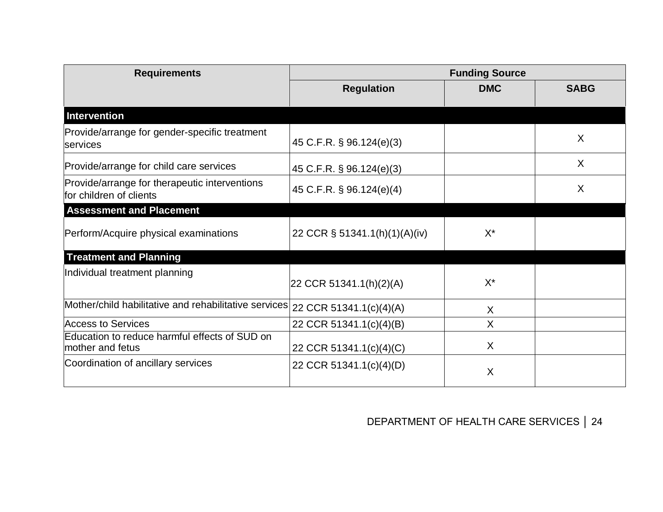| <b>Requirements</b>                                                      | <b>Funding Source</b>         |                           |             |
|--------------------------------------------------------------------------|-------------------------------|---------------------------|-------------|
|                                                                          | <b>Regulation</b>             | <b>DMC</b>                | <b>SABG</b> |
| <b>Intervention</b>                                                      |                               |                           |             |
| Provide/arrange for gender-specific treatment<br>services                | 45 C.F.R. § 96.124(e)(3)      |                           | X           |
| Provide/arrange for child care services                                  | 45 C.F.R. § 96.124(e)(3)      |                           | X           |
| Provide/arrange for therapeutic interventions<br>for children of clients | 45 C.F.R. § 96.124(e)(4)      |                           | X           |
| <b>Assessment and Placement</b>                                          |                               |                           |             |
| Perform/Acquire physical examinations                                    | 22 CCR § 51341.1(h)(1)(A)(iv) | $X^*$                     |             |
| <b>Treatment and Planning</b>                                            |                               |                           |             |
| Individual treatment planning                                            | 22 CCR 51341.1(h)(2)(A)       | $X^*$                     |             |
| Mother/child habilitative and rehabilitative services                    | 22 CCR 51341.1(c)(4)(A)       | $\sf X$                   |             |
| <b>Access to Services</b>                                                | 22 CCR 51341.1(c)(4)(B)       | $\sf X$                   |             |
| Education to reduce harmful effects of SUD on<br>mother and fetus        | 22 CCR 51341.1(c)(4)(C)       | X                         |             |
| Coordination of ancillary services                                       | 22 CCR 51341.1(c)(4)(D)       | $\boldsymbol{\mathsf{X}}$ |             |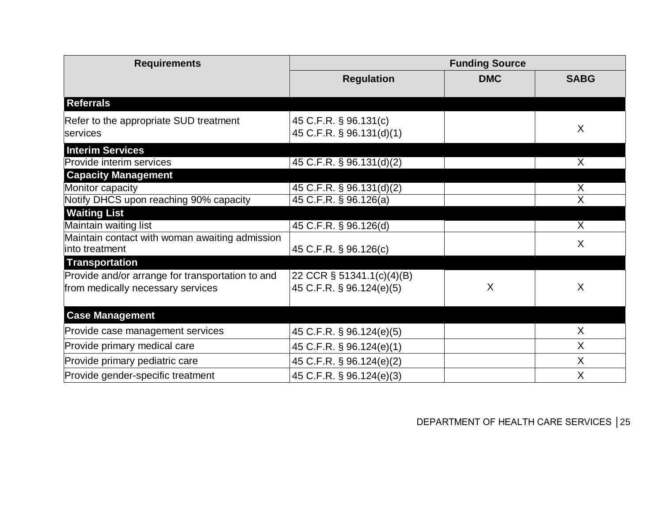| <b>Requirements</b>                                                                   | <b>Funding Source</b>                                 |            |                         |
|---------------------------------------------------------------------------------------|-------------------------------------------------------|------------|-------------------------|
|                                                                                       | <b>Regulation</b>                                     | <b>DMC</b> | <b>SABG</b>             |
| <b>Referrals</b>                                                                      |                                                       |            |                         |
| Refer to the appropriate SUD treatment<br>services                                    | 45 C.F.R. § 96.131(c)<br>45 C.F.R. § 96.131(d)(1)     |            | X                       |
| <b>Interim Services</b><br>Provide interim services                                   | 45 C.F.R. $\S$ 96.131(d)(2)                           |            | $\overline{\mathsf{x}}$ |
| <b>Capacity Management</b>                                                            |                                                       |            |                         |
| Monitor capacity<br>Notify DHCS upon reaching 90% capacity                            | 45 C.F.R. § 96.131(d)(2)<br>45 C.F.R. § 96.126(a)     |            | X<br>Χ                  |
| <b>Waiting List</b>                                                                   |                                                       |            |                         |
| Maintain waiting list                                                                 | 45 C.F.R. § 96.126(d)                                 |            | $\overline{X}$          |
| Maintain contact with woman awaiting admission<br>into treatment                      | 45 C.F.R. § 96.126(c)                                 |            | X                       |
| <b>Transportation</b>                                                                 |                                                       |            |                         |
| Provide and/or arrange for transportation to and<br>from medically necessary services | 22 CCR § 51341.1(c)(4)(B)<br>45 C.F.R. § 96.124(e)(5) | Χ          | X                       |
| <b>Case Management</b>                                                                |                                                       |            |                         |
| Provide case management services                                                      | 45 C.F.R. § 96.124(e)(5)                              |            | X                       |
| Provide primary medical care                                                          | 45 C.F.R. § 96.124(e)(1)                              |            | X                       |
| Provide primary pediatric care                                                        | 45 C.F.R. § 96.124(e)(2)                              |            | X                       |
| Provide gender-specific treatment                                                     | 45 C.F.R. § 96.124(e)(3)                              |            | X                       |